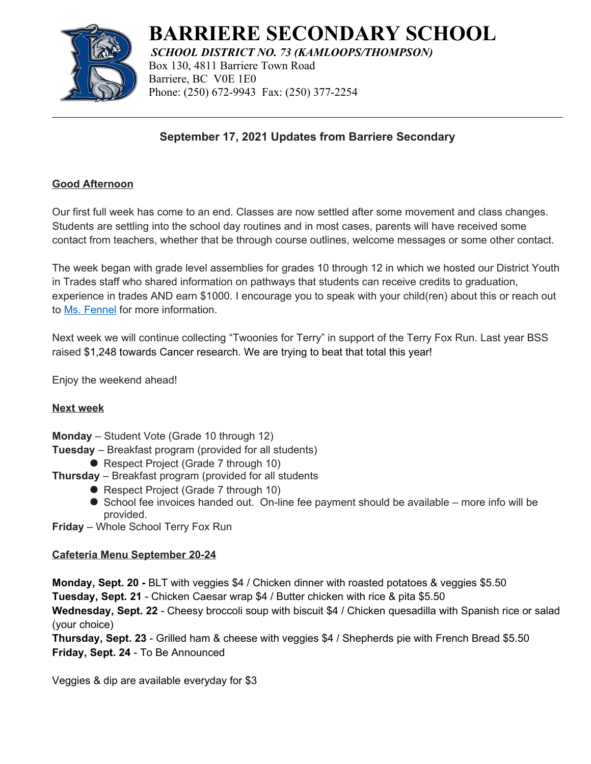

# **BARRIERE SECONDARY SCHOOL**

*SCHOOL DISTRICT NO. 73 (KAMLOOPS/THOMPSON)* Box 130, 4811 Barriere Town Road Barriere, BC V0E 1E0 Phone: (250) 672-9943 Fax: (250) 377-2254

## **September 17, 2021 Updates from Barriere Secondary**

#### **Good Afternoon**

Our first full week has come to an end. Classes are now settled after some movement and class changes. Students are settling into the school day routines and in most cases, parents will have received some contact from teachers, whether that be through course outlines, welcome messages or some other contact.

The week began with grade level assemblies for grades 10 through 12 in which we hosted our District Youth in Trades staff who shared information on pathways that students can receive credits to graduation, experience in trades AND earn \$1000. I encourage you to speak with your child(ren) about this or reach out to Ms. [Fennel](mailto:kfennel@sd73.bc.ca) for more information.

Next week we will continue collecting "Twoonies for Terry" in support of the Terry Fox Run. Last year BSS raised \$1,248 towards Cancer research. We are trying to beat that total this year!

Enjoy the weekend ahead!

#### **Next week**

- **Monday** Student Vote (Grade 10 through 12)
- **Tuesday** Breakfast program (provided for all students)
	- Respect Project (Grade 7 through 10)
- **Thursday** Breakfast program (provided for all students
	- Respect Project (Grade 7 through 10)
	- School fee invoices handed out. On-line fee payment should be available more info will be provided.
- **Friday** Whole School Terry Fox Run

## **Cafeteria Menu September 20-24**

**Monday, Sept. 20 -** BLT with veggies \$4 / Chicken dinner with roasted potatoes & veggies \$5.50

**Tuesday, Sept. 21** - Chicken Caesar wrap \$4 / Butter chicken with rice & pita \$5.50

**Wednesday, Sept. 22** - Cheesy broccoli soup with biscuit \$4 / Chicken quesadilla with Spanish rice or salad (your choice)

**Thursday, Sept. 23** - Grilled ham & cheese with veggies \$4 / Shepherds pie with French Bread \$5.50 **Friday, Sept. 24** - To Be Announced

Veggies & dip are available everyday for \$3